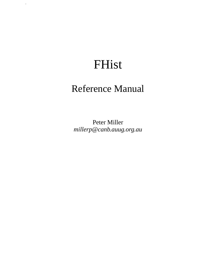# FHist

.

## Reference Manual

Peter Miller *millerp@canb.auug.org.au*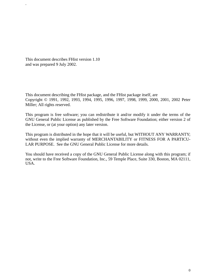This document describes FHist version 1.10 and was prepared 9 July 2002.

.

This document describing the FHist package, and the FHist package itself, are Copyright © 1991, 1992, 1993, 1994, 1995, 1996, 1997, 1998, 1999, 2000, 2001, 2002 Peter Miller; All rights reserved.

This program is free software; you can redistribute it and/or modify it under the terms of the GNU General Public License as published by the Free Software Foundation; either version 2 of the License, or (at your option) any later version.

This program is distributed in the hope that it will be useful, but WITHOUT ANY WARRANTY; without even the implied warranty of MERCHANTABILITY or FITNESS FOR A PARTICU-LAR PURPOSE. See the GNU General Public License for more details.

You should have received a copy of the GNU General Public License along with this program; if not, write to the Free Software Foundation, Inc., 59 Temple Place, Suite 330, Boston, MA 02111, USA.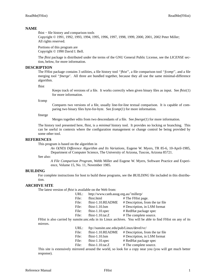#### **NAME**

fhist − file history and comparison tools

Copyright © 1991, 1992, 1993, 1994, 1995, 1996, 1997, 1998, 1999, 2000, 2001, 2002 Peter Miller; All rights reserved.

Portions of this program are Copyright © 1990 David I. Bell.

The *fhist* package is distributed under the terms of the GNU General Public License, see the *LICENSE* section, below, for more information.

#### **DESCRIPTION**

The FHist package contains 3 utilities, a file history tool ''*fhist*'',afile comparison tool ''*fcomp*'', and a file merging tool ''*fmerge*'. All three are bundled together, because they all use the same minimal-difference algorithm.

fhist

Keeps track of versions of a file. It works correctly when given binary files as input. See *fhist*(1) for more information.

fcomp

Compares two versions of a file, usually line-for-line textual comparison. It is capable of comparing two binary files byte-for-byte. See *fcomp*(1) for more information.

fmerge

Merges together edits from two descendants of a file. See *fmerge*(1) for more information.

The history tool presented here, fhist, is a *minimal* history tool. It provides no locking or branching. This can be useful in contexts where the configuration management or change control be being provided by some other tool.

#### **REFERENCES**

This program is based on the algorithm in

*An O(ND) Difference Algorithm and Its Variations*, Eugene W. Myers, TR 85-6, 10-April-1985, Department of Computer Science, The University of Arizona, Tuscon, Arizona 85721.

See also:

*A File Comparison Program*, Webb Miller and Eugene W. Myers, Software Practice and Experience, Volume 15, No. 11, November 1985.

#### **BUILDING**

For complete instructions for host to build these programs, see the *BUILDING* file included in this distribution.

## **ARCHIVE SITE**

The latest version of *fhist* is available on the Web from:

| URL:  | http://www.canb.auug.org.au/~millerp/ |                                  |
|-------|---------------------------------------|----------------------------------|
| File: | fhist.html                            | # The FHist page.                |
| File: | fhist-1.10.README                     | # Description, from the tar file |
| File: | $fhist-1.10.lsm$                      | # Description, in LSM format     |
| File: | fhist- $1.10$ .spec                   | # RedHat package spec            |
| File: | fhist-1.10.tar.Z                      | # The complete source.           |
|       |                                       |                                  |

FHist is also carried by sunsite.unc.edu in its Linux archives. You will be able to find FHist on any of its mirrors.

| URL: | ftp://sunsite.unc.edu/pub/Linux/devel/vc/ |  |
|------|-------------------------------------------|--|
|------|-------------------------------------------|--|

| File: | fhist-1.10.README | # Description, from the tar file |  |  |
|-------|-------------------|----------------------------------|--|--|
|-------|-------------------|----------------------------------|--|--|

File: fhist-1.10.lsm # Description, in LSM format

- File: fhist-1.10.spec # RedHat package spec
- File: fhist-1.10.tar.Z # The complete source.

This site is extensively mirrored around the world, so look for a copy near you (you will get much better response).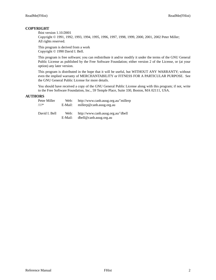## **COPYRIGHT**

fhist version 1.10.D001

Copyright © 1991, 1992, 1993, 1994, 1995, 1996, 1997, 1998, 1999, 2000, 2001, 2002 Peter Miller; All rights reserved.

This program is derived from a work Copyright © 1990 David I. Bell.

This program is free software; you can redistribute it and/or modify it under the terms of the GNU General Public License as published by the Free Software Foundation; either version 2 of the License, or (at your option) any later version.

This program is distributed in the hope that it will be useful, but WITHOUT ANY WARRANTY; without even the implied warranty of MERCHANTABILITY or FITNESS FOR A PARTICULAR PURPOSE. See the GNU General Public License for more details.

You should have received a copy of the GNU General Public License along with this program; if not, write to the Free Software Foundation, Inc., 59 Temple Place, Suite 330, Boston, MA 02111, USA.

## **AUTHORS**

| Peter Miller  | Web:            | http://www.canb.auug.org.au/~millerp                         |
|---------------|-----------------|--------------------------------------------------------------|
| $\bigwedge^*$ | E-Mail:         | millerp@canb.auug.org.au                                     |
| David I. Bell | Web:<br>E-Mail: | http://www.canb.auug.org.au/~dbell<br>dbell@canb.auug.org.au |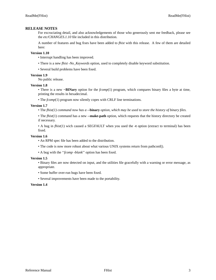## **RELEASE NOTES**

For excruciating detail, and also acknowledgements of those who generously sent me feedback, please see the *etc/CHANGES.1.10* file included in this distribution.

A number of features and bug fixes have been added to *fhist* with this release. A few of them are detailed here:

#### **Version 1.10**

• Interrupt handling has been improved.

- There is a new *fhist -No\_Keywords* option, used to completely disable keyword substitution.
- Several build problems have been fixed.

## **Version 1.9**

No public release.

#### **Version 1.8**

• There is a new **−BINary** option for the *fcomp*(1) program, which compares binary files a byte at time, printing the results in hexadecimal.

• The *fcomp*(1) program now silently copes with CRLF line terminations.

#### **Version 1.7**

• The *fhist(1) command now has a* **--binary** *option, which may be used to store the history of binary files.*

• The *fhist*(1) command has a new **--make-path** option, which requests that the history directory be created if necessary.

•Abug in *fhist*(1) wich caused a SEGFAULT when you used the **-t** option (extract to terminal) has been fixed.

#### **Version 1.6**

- An RPM spec file has been added to the distribution.
- The code is now more robust about what various UNIX systems return from pathconf().
- •Abug with the ''*fcomp -blank*'' option has been fixed.

#### **Version 1.5**

- Binary files are now detected on input, and the utilities file gracefully with a warning or error message, as appropriate.
- Some buffer over-run bugs have been fixed.
- Several improvements have been made to the portability.

#### **Version 1.4**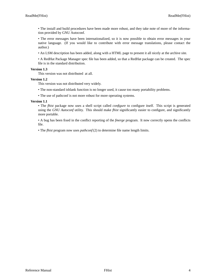• The install and build procedures have been made more robust, and they take note of more of the information provided by GNU Autoconf.

• The error messages have been internationalized, so it is now possible to obtain error messages in your native language. (If you would like to contribute with error message translations, please contact the author.)

• An LSM description has been added, along with a HTML page to present it all nicely at the archive site.

•ARedHat Package Manager spec file has been added, so that a RedHat package can be created. The spec file is in the standard distribution.

#### **Version 1.3**

This version was not distributed at all.

## **Version 1.2**

This version was not distributed very widely.

• The non-standard isblank function is no longer used, it cause too many portability problems.

• The use of pathconf is not more robust for more operating systems.

#### **Version 1.1**

• The *fhist* package now uses a shell script called *configure* to configure itself. This script is generated using the *GNU Autoconf* utility. This should make *fhist* significantly easier to configure, and significantly more portable.

•Abug has been fixed in the conflict reporting of the *fmerge* program. It now correctly opens the conflicts file.

• The *fhist* program now uses *pathconf* (2) to determine file name length limits.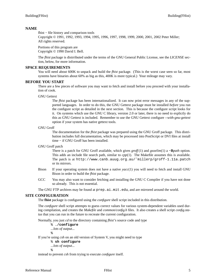## **NAME**

fhist − file history and comparison tools

Copyright © 1991, 1992, 1993, 1994, 1995, 1996, 1997, 1998, 1999, 2000, 2001, 2002 Peter Miller; All rights reserved.

Portions of this program are Copyright © 1990 David I. Bell.

The *fhist* package is distrributed under the terms of the GNU General Public License, see the *LICENSE* section, below, for more information.

#### **SPACE REQUIREMENTS**

You will need about 600K to unpack and build the *fhist* package. (This is the worst case seen so far, most systems have binaries about 60% as big as this, 400K is more typical.) Your mileage may vary.

#### **BEFORE YOU START**

There are a few pieces of software you may want to fetch and install before you proceed with your installation of cook.

#### GNU Gettext

The *fhist* package has been internationalized. It can now print error messages in any of the supported languages. In order to do this, the GNU Gettext package must be installed *before* you run the configure script as detailed in the next section. This is because the configure script looks for it. On systems which use the GNU C library, version 2.0 or later, there is no need to explictly do this as GNU Gettext is included. Remember to use the GNU Gettext configure *--with-gnu-gettext* option if your system has native gettext tools.

#### GNU Groff

The documentation for the *fhist* package was prepared using the GNU Groff package. This distribution includes full documentation, which may be processed into PostScript or DVI files at install time − if GNU Groff has been installed.

#### GNU Groff patch

There is a patch for GNU Groff available, which gives *groff* (1) and *gsoelim*(1) a **−B***path* option. This adds an include file search path, similar to *cpp*(1). The Makefile assumes this is available. The patch is at http://www.canb.auug.org.au/˜millerp/groff-1.11a.patch or its mirrors.

- Bison If your operating system does not have a native *yacc*(1) you will need to fetch and install GNU Bison in order to build the *fhist* package.
- GCC You may also want to consider fetching and installing the GNU C Compiler if you have not done so already. This is not essential.

The GNU FTP archives may be found at  $prep.a.i.mit.edu$ , and are mirrored around the world.

## **SITE CONFIGURATION**

The **fhist** package is configured using the *configure* shell script included in this distribution.

The *configure* shell script attempts to guess correct values for various system-dependent variables used during compilation, and creates the *Makefile* and *common/config.h* files. It also creates a shell script *config.status* that you can run in the future to recreate the current configuration.

Normally, you just *cd* to the directory containing *fhist*'s source code and type

% **./configure** *...lots of output...* %

If you're using *csh* on an old version of System V, you might need to type

```
% sh configure
```
*...lots of output...* %

instead to prevent *csh* from trying to execute *configure* itself.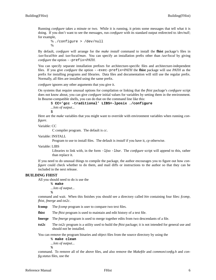Running *configure* takes a minute or two. While it is running, it prints some messages that tell what it is doing. If you don't want to see the messages, run *configure* with its standard output redirected to */dev/null*; for example,

```
% ./configure > /dev/null
%
```
By default, *configure* will arrange for the *make install* command to install the **fhist** package's files in */usr/local/bin* and */usr/local/man*. You can specify an installation prefix other than */usr/local* by giving *configure* the option --prefix=*PATH*.

You can specify separate installation prefixes for architecture-specific files and architecture-independent files. If you give *configure* the option --exec-prefix=*PA TH* the **fhist** package will use *PA TH* as the prefix for installing programs and libraries. Data files and documentation will still use the regular prefix. Normally, all files are installed using the same prefix.

*configure* ignores any other arguments that you give it.

On systems that require unusual options for compilation or linking that the *fhist* package's *configure* script does not know about, you can give *configure* initial values for variables by setting them in the environment. In Bourne-compatible shells, you can do that on the command line like this:

\$ **CC='gcc -traditional' LIBS=-lposix ./configure** *...lots of output...*

\$

Here are the *make* variables that you might want to override with environment variables when running *configure*.

Variable: CC

C compiler program. The default is *cc*.

Variable: INSTALL

Program to use to install files. The default is *install* if you have it, *cp* otherwise.

Variable: LIBS

Libraries to link with, in the form  $-1$ *foo*  $-1$ *bar*. The *configure* script will append to this, rather than replace it.

If you need to do unusual things to compile the package, the author encourages you to figure out how *configure* could check whether to do them, and mail diffs or instructions to the author so that they can be included in the next release.

## **BUILDING FHIST**

All you should need to do is use the

% **make** *...lots of output...* %

command and wait. When this finishes you should see a directory called *bin* containing four files: *fcomp*, *fhist*, *fmerge* and *txt2c*.

**fcomp** The *fcomp* program is user to compare two text files.

**fhist** The *fhist* program is used to maintain and edit history of a text file.

**fmerge** The *fmerge* program is used to merge together edits from two descendants of a file.

**txt2c** The *txt2c* program is a utility used to build the *fhist* package; it is not intended for general use and should not be installed.

You can remove the program binaries and object files from the source directory by using the

% **make clean** *...lots of output...*  $\approx$ 

command. To remove all of the above files, and also remove the *Makefile* and *common/config.h* and *config.status* files, use the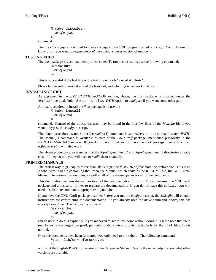% **make distclean**

*...lots of output...*

%

command.

The file *etc/configure.in* is used to create *configure* by a GNU program called *autoconf*. You only need to know this if you want to regenerate *configure* using a newer version of *autoconf*.

## **TESTING FHIST**

The *fhist* package is accompanied by a test suite. To run this test suite, use the following command:

% **make sure** *...lots of output...* %

This is successful if the last line of the test output reads "Passed All Tests".

Please let the author know if any of the tests fail, and why if you can work that out.

## **INSTALLING FHIST**

As explained in the *SITE CONFIGURATION* section, above, the *fhist* package is installed under the */usr/local* tree by default. Use the --prefix=*PA TH* option to *configure* if you want some other path.

All that is required to install the *fhist* package is to use the

% **make install** *...lots of output...* %

command. Control of the directories used may be found in the first few lines of the *Makefile* file if you want to bypass the *configure* script.

The above procedure assumes that the *soelim*(1) command is somewhere in the command search *PATH*. The *soelim*(1) command is available as part of the *GNU Roff* package, mentioned previously in the *PRINTED MANUALS* section. If you don't have it, but you do have the *cook* package, then a link from *roffpp* to *soelim* will also work.

The above procedure also assumes that the *\$(prefix)/man/man1* and *\$(prefix)/man/man5* directories already exist. If they do not, you will need to *mkdir* them manually.

## **PRINTED MANUALS**

The easiest way to get copies of the manuals is to get the *fhist.1.10.pdf* file from the archive site. This is an Adobe AcroRead file containing the Reference Manual, which contains the README file, the BUILDING file and internationalization notes, as well as all of the manual pages for all of the commands.

This distribution contains the sources to all of the documentation for *fhist*. The author used the GNU groff package and a postscript printer to prepare the documentation. If you do not have this software, you will need to substitute commands appropriate to your site.

If you have the GNU Groff package installed *before* you run the *configure* script, the *Makefile* will contain instructions for constructing the documentation. If you already used the *make* command, above, this has already been done. The following command

**%** make doc

*...lots of output...* **%**

can be used to do this explicitly, if you managed to get to this point without doing it. Please note that there may be some warnings from groff, particularly about missing fonts, particularly for the .txt files; this is normal.

Once the documents have been formatted, you only need to print them. The following command

**%** lpr lib/en/reference.ps **%**

will print the English PostScript version of the Reference Manual. Watch the *make* output to see what other versions are available.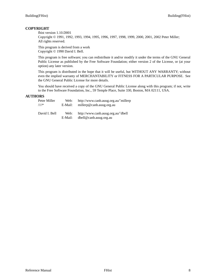## **COPYRIGHT**

fhist version 1.10.D001

Copyright © 1991, 1992, 1993, 1994, 1995, 1996, 1997, 1998, 1999, 2000, 2001, 2002 Peter Miller; All rights reserved.

This program is derived from a work Copyright © 1990 David I. Bell.

This program is free software; you can redistribute it and/or modify it under the terms of the GNU General Public License as published by the Free Software Foundation; either version 2 of the License, or (at your option) any later version.

This program is distributed in the hope that it will be useful, but WITHOUT ANY WARRANTY; without even the implied warranty of MERCHANTABILITY or FITNESS FOR A PARTICULAR PURPOSE. See the GNU General Public License for more details.

You should have received a copy of the GNU General Public License along with this program; if not, write to the Free Software Foundation, Inc., 59 Temple Place, Suite 330, Boston, MA 02111, USA.

## **AUTHORS**

| Peter Miller    | Web:            | http://www.canb.auug.org.au/~millerp                         |
|-----------------|-----------------|--------------------------------------------------------------|
| $\mathcal{M}^*$ | E-Mail:         | millerp@canb.auug.org.au                                     |
| David I. Bell   | Web:<br>E-Mail: | http://www.canb.auug.org.au/~dbell<br>dbell@canb.auug.org.au |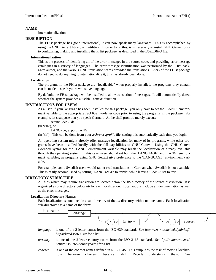## **NAME**

Internationalization

#### **DESCRIPTION**

The FHist package has gone international; it can now speak many languages. This is accomplished by using the GNU Gettext library and utilities. In order to do this, is is necessary to install GNU Gettext prior to configuring, making and installing the FHist package, as described in the *BUILDING* file.

#### **Internationalization**

This is the process of identifying all of the error messages in the source code, and providing error message catalogues in a variety of languages. The error message identification was performed by the FHist package's author, and the various GNU translation teams provided the translations. Users of the FHist package do not need to do anything to internationalize it, this has already been done.

#### **Localization**

The programs in the FHist package are "localizable" when properly installed; the programs they contain can be made to speak your own native language.

By default, the FHist package will be installed to allow translation of messages. It will automatically detect whether the system provides a usable 'gettext' function.

## **INSTRUCTIONS FOR USERS**

As a user, if your language has been installed for this package, you only have to set the 'LANG' environment variable to the appropriate ISO 639 two-letter code prior to using the programs in the package. For example, let's suppose that you speak German. At the shell prompt, merely execute

setenv LANG de

(in 'csh'), or

LANG=de; export LANG

(in 'sh'). This can be done from your *.cshrc* or *.profile* file, setting this automatically each time you login.

An operating system might already offer message localization for many of its programs, while other programs have been installed locally with the full capabilities of GNU Gettext. Using the GNU Gettext extended syntax for the 'LANG' environment variable may break the localization of already available through the operating system. In this case, users should set both the 'LANGUAGE' and 'LANG' environment variables, as programs using GNU Gettext give preference to the 'LANGUAGE' environment variable.

For example, some Swedish users would rather read translations in German when Swedish is not available. This is easily accomplished by setting 'LANGUAGE' to 'sv:de' while leaving 'LANG' set to 'sv'.

## **DIRECTORY STRUCTURE**

All files which may require translation are located below the *lib* directory of the source distribution. It is organized as one directory below *lib* for each localization. Localizations include all documentation as well as the error messages.

#### **Localization Directory Names**

Each localization is contained in a sub-directory of the *lib* directory, with a unique name. Each localization sub-directory has a name of the form:



- *language* is one of the 2-letter names from the ISO 639 standard. See *http://www.ics.uci.edu/pub/ietf/ http/related/iso639.txt* for a list.
- *territory* is one of the 2-letter country codes from the ISO 3166 standard. See *ftp://rs.internic.net/ netinfo/iso3166-countrycodes* for a list.
- *codeset* is one of the codeset names defined in RFC 1345. This simplifies the task of moving localizations between charsets, because GNU Recode understands them. See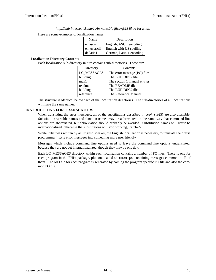*http://info.internet.isi.edu/1s/in-notes/rfc/files/rfc1345.txt* for a list.

Here are some examples of localization names:

| Name        | Description              |  |
|-------------|--------------------------|--|
| en.ascii    | English, ASCII encoding  |  |
| en_us.ascii | English with US spelling |  |
| de.latin1   | German, Latin-1 encoding |  |

#### **Localization Directory Contents**

Each localization sub-directory in turn contains sub-directories. These are:

| Directory   | Contents                     |  |
|-------------|------------------------------|--|
| LC MESSAGES | The error message (PO) files |  |
| building    | The BUILDING file            |  |
| man1        | The section 1 manual entries |  |
| readme      | The README file              |  |
| building    | The BUILDING file            |  |
| reference   | The Reference Manual         |  |

The structure is identical below each of the localization directories. The sub-directories of all localizations will have the same names.

## **INSTRUCTIONS FOR TRANSLATORS**

When translating the error messages, all of the substitutions described in *cook\_sub*(5) are also available. Substitution variable names and function names may be abbreviated, in the same way that command line options are abbreviated, but abbreviation should probably be avoided. Substitution names will *never* be internationalized, otherwise the substitutions will stop working, Catch-22.

While FHist was written by an English speaker, the English localization is necessary, to translate the ''terse programmer'' style error messages into something more user friendly.

Messages which include command line options need to leave the command line options untranslated, because they are not yet internationalized, though they may be one day.

Each LC\_MESSAGES directory within each localization contains a number of PO files. There is one for each program in the FHist package, plus one called common.po containing messages common to all of them. The MO file for each program is generated by naming the program specific PO file and also the common PO file.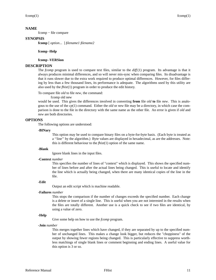## **NAME**

fcomp − file compare

## **SYNOPSIS**

**fcomp** [ *option*... ] *filename1 filename2*

#### **fcomp -Help**

#### **fcomp -VERSion**

#### **DESCRIPTION**

The *fcomp* program is used to compare text files, similar to the *diff* (1) program. Its advantage is that it always produces minimal differences, and so will never mis-sync when comparing files. Its disadvantage is that it runs slower due to the extra work required to produce optimal differences. However, for files differing by less than a few thousand lines, its performance is adequate. The algorithms used by this utility are also used by the *fhist*(1) program in order to produce the edit history.

To compare file *old* to file *new*, the command:

fcomp old new

would be used. This gives the differences involved in converting **from** file *old* **to** file *new*. This is analogous to the use of the *cp*(1) command. Either the *old* or *new* file may be a directory, in which case the comparison is done to the file in the directory with the same name as the other file. An error is given if *old* and *new* are both directories.

#### **OPTIONS**

The following options are understood:

#### **-BINary**

This option may be used to compare binary files on a byte-for-byte basis. (Each byte is treated as a ''line'' by the algorithm.) Byte values are displayed in hexadecimal, as are the addresses. Note: this is different behaviour to the *fhist*(1) option of the same name.

#### **-Blank**

Ignore blank lines in the input files.

#### **-Context** *number*

This specifies the number of lines of "context" which is displayed. This shows the specified number of lines before and after the actual lines being changed. This is useful to locate and identify the line which is actually being changed, when there are many identical copies of the line in the file.

#### **-Edit**

Output an edit script which is machine readable.

#### **-Failures** *number*

This stops the comparison if the number of changes exceeds the specified number. Each change is a delete or insert of a single line. This is useful when you are not interested in the results when the files are totally different. Another use is a quick check to see if two files are identical, by using a value of zero.

#### **-Help**

Give some help on how to use the *fcomp* program.

**-Join** *number*

This merges together lines which have changed, if they are separated by up to the specified number of unchanged lines. This makes a change look bigger, but reduces the "choppiness" of the output by showing fewer regions being changed. This is particularly effective to suppress worthless matchings of single blank lines or comment beginning and ending lines. A useful value for this option is 3 or so.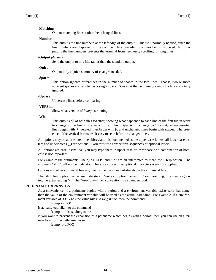#### **-Matching**

Output matching lines, rather then changed lines.

#### **-Number**

This outputs the line numbers at the left edge of the output. This isn't normally needed, since the line numbers are displayed in the comment line preceding the lines being displayed. Not outputting the line numbers prevents the terminal from needlessly scrolling for long lines.

#### **-Output** *filename*

Send the output to this file, rather than the standard output.

#### **-Quiet**

Output only a quick summary of changes needed.

#### **-Spaces**

This option ignores differences in the number of spaces in the two lines. That is, two or more adjacent spaces are handled as a single space. Spaces at the beginning or end of a line are totally ignored.

#### **-Upcase**

Uppercase lines before comparing.

#### **-VERSion**

Show what version of *fcomp* is running.

#### **-What**

This outputs all of both files together, showing what happened to each line of the first file in order to change to the line in the second file. This output is in "change bar" format, where inserted lines begin with **|+**, deleted lines begin with **|-**, and unchanged lines begin with spaces. The presence of the vertical bar makes it easy to search for the changed lines.

All options may be abbreviated; the abbreviation is documented as the upper case letters, all lower case letters and underscores (\_) are optional. You must use consecutive sequences of optional letters.

All options are case insensitive, you may type them in upper case or lower case or a combination of both, case is not important.

For example: the arguments "-help, "-HELP" and "-h" are all interpreted to mean the **-Help** option. The argument "-hlp" will not be understood, because consecutive optional characters were not supplied.

Options and other command line arguments may be mixed arbitrarily on the command line.

The GNU long option names are understood. Since all option names for *fcomp* are long, this means ignoring the extra leading '-'. The "**--***option***=***value*" convention is also understood.

#### **FILE NAME EXPANSION**

As a convenience, if a pathname begins with a period and a environment variable exists with that name, then the value of the environment variable will be used as the actual pathname. For example, if a environment variable of *.FOO* has the value *this.is.a.long.name*, then the command

fcomp -o .FOO

is actually equivilant to the command

fcomp -o this.is.a.long.name

If you want to prevent the expansion of a pathname which begins with a period, then you can use an alternate form for the pathname, as in:

fcomp -o ./.FOO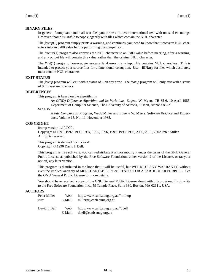## **BINARY FILES**

In general, fcomp can handle all text files you throw at it, even international text with unusual encodings. However, fcomp is *unable* to cope elegantly with files which contain the NUL character.

The *fcomp*(1) program simply prints a warning, and continues, you need to know that it converts NUL characters into an 0x80 value before performing the comparison.

The *fmerge*(1) program also converts the NUL character to an 0x80 value before merging, after a warning, and any output file will contain this value, rather than the original NUL character.

The *fhist*(1) program, however, generates a fatal error if any input file contains NUL characters. This is intended to protect your source files for unintentional corruption. Use **--BINary** for files which absolutely must contain NUL characters.

#### **EXIT STATUS**

The *fcomp* program will exit with a status of 1 on any error. The *fcomp* program will only exit with a status of 0 if there are no errors.

## **REFERENCES**

This program is based on the algorithm in

*An O(ND) Difference Algorithm and Its Variations*, Eugene W. Myers, TR 85-6, 10-April-1985, Department of Computer Science, The University of Arizona, Tuscon, Arizona 85721.

See also:

*A File Comparison Program*, Webb Miller and Eugene W. Myers, Software Practice and Experience, Volume 15, No. 11, November 1985.

#### **COPYRIGHT**

fcomp version 1.10.D001

Copyright © 1991, 1992, 1993, 1994, 1995, 1996, 1997, 1998, 1999, 2000, 2001, 2002 Peter Miller; All rights reserved.

This program is derived from a work Copyright © 1990 David I. Bell.

This program is free software; you can redistribute it and/or modify it under the terms of the GNU General Public License as published by the Free Software Foundation; either version 2 of the License, or (at your option) any later version.

This program is distributed in the hope that it will be useful, but WITHOUT ANY WARRANTY; without even the implied warranty of MERCHANTABILITY or FITNESS FOR A PARTICULAR PURPOSE. See the GNU General Public License for more details.

You should have received a copy of the GNU General Public License along with this program; if not, write to the Free Software Foundation, Inc., 59 Temple Place, Suite 330, Boston, MA 02111, USA.

#### **AUTHORS**

| Peter Miller    | Web:            | http://www.canb.auug.org.au/~millerp                         |
|-----------------|-----------------|--------------------------------------------------------------|
| $\mathcal{N}^*$ | E-Mail:         | millerp@canb.auug.org.au                                     |
| David I. Bell   | Web:<br>E-Mail: | http://www.canb.auug.org.au/~dbell<br>dbell@canb.auug.org.au |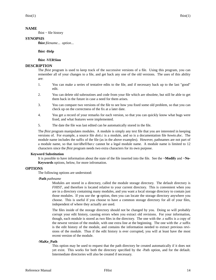#### **NAME**

fhist − file history

## **SYNOPSIS**

**fhist** *filename*... *option*...

#### **fhist -Help**

#### **fhist -VERSion**

#### **DESCRIPTION**

The *fhist* program is used to keep track of the successive versions of a file. Using this program, you can remember all of your changes to a file, and get back any one of the old versions. The uses of this ability are:

- 1. You can make a series of tentative edits to the file, and if necessary back up to the last "good" edit.
- 2. You can delete old subroutines and code from your file which are obsolete, but still be able to get them back in the future in case a need for them arises.
- 3. You can compare two versions of the file to see how you fixed some old problem, so that you can check up on the correctness of the fix at a later date.
- 4. You get a record of your remarks for each version, so that you can quickly know what bugs were fixed, and what features were implemented.
- 5. The date the file was last edited can be automatically stored in the file.

The *fhist* program manipulates modules. A module is simply any text file that you are interested in keeping versions of. For example, a source file *doit.c* is a module, and so is a documentation file *howto.doc*. The module name includes the suffix of the file (as in the above examples). However, pathnames are not part of a module name, so that */usr/dbell/bar.c* cannot be a legal module name. A module name is limited to 12 characters since the *fhist* program needs two extra characters for its own purpose.

#### **Keyword Substitution**

It is possible to have information about the state of the file inserted into the file. See the **−Modify** and **−No-Keywords** options, below, for more infromation.

## **OPTIONS**

The following options are understood:

#### **-Path** *pathname*

Modules are stored in a directory, called the module storage directory. The default directory is *FHIST*, and therefore is located relative to your current directory. This is convenient when you are in a directory containing many modules, and you want a local storage directory to contain just those modules. If you use the **-p** option, then you can locate the storage directory anywhere you choose. This is useful if you choose to have a common storage directory for all of your files, independent of where they actually are used.

The files inside of the storage directory should not be changed by you. Doing so will probably corrupt your edit history, causing errors when you extract old revisions. For your information, though, each module is stored as two files in the directory. The one with the *.s* suffix is a copy of the newest version of the module, with one extra line at the beginning. The one with the *.e* suffix is the edit history of the module, and contains the information needed to extract previous revisions of the module. Thus if the edit history is ever corrupted, you will at least have the most recent version of the module.

#### **-MaKe\_Path**

This option may be used to request that the path directory be created automatically if it does not yet exist. This works for both the directory specified by the -Path option, and for the default. Intermediate directories will also be created if necessary.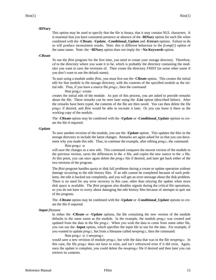#### **-BINary**

This option may be used to specify that the file is binary, that it may contain NUL characters. It is essential that you have consistent presence or absence of the **-BINary** option for each file when combined with the **-CReate**, **-Update**, **-Conditional\_Update** and **-Extract** options. Failure to do so will produce inconsistent results. Note: this is different behaviour to the *fcomp*(1) option of the same name. Note: the **−BINary** option does *not* imply the **−No-Keywords** option.

#### **-CReate**

To use the *fhist* program for the first time, you need to create your storage directory. Therefore, *cd* to the directory where you want it to be, which is probably the directory containing the modules you want to save the revisions of. Then create the directory *FHIST* (or some other name if you don't want to use the default name).

To start using a module under *fhist*, you must first use the **-CReate** option. This creates the initial edit for that module in the storage directory, with the contents of the specified module as the initial edit. Thus, if you have a source file *prog.c*, then the command:

fhist prog.c -create

creates the initial edit of the module. As part of this process, you are asked to provide remarks about the file. These remarks can be seen later using the **-List** option (described below). After the remarks have been typed, the contents of the file are then saved. You can then delete the file *prog.c* if desired, and *fhist* would be able to recreate it later. Or you can leave it there as the working copy of the module.

The **-CReate** option may be combined with the **-Update** or **-Conditional\_Update** options to create the file if required.

#### **-Update**

To save another revision of the module, you use the **-Update** option. This updates the files in the storage directory to include the latest changes. Remarks are again asked for so that you can document why you made this edit. Thus, to continue the example, after editing *prog.c*, the command: fhist prog.c -u

will save the changes as a new edit. This command compares the newest version of the module to the previous version, saves the differences in the *.e* file, and copies the new source to the *.s* file. At this point, you can once again delete the *prog.c* file if desired, and later get back either of the two versions of the program.

The *fhist* program handles quota or disk full problems during a create or update operation without damage occurring to the edit history files. If an edit cannot be completed because of such problems, the edit is backed out completely, and you will get an error message about the disk problem. There is no need for any error recovery in this case, other than retrying the update when more disk space is available. The *fhist* program also disables signals during the critical file operations, so you do not have to worry about damaging the edit history files because of attempts to quit out of the program.

The **-CReate** option may be combined with the **-Update** or **-Conditional\_Update** options to create the file if required.

#### **-Input** *filename*

In either the **-CReate** or **-Update** options, the file containing the new version of the module defaults to the same name as the module. In the example, the module *prog.c* was created and updated from the data in the file *prog.c*. When you wish the data to come from some other file, you can use the **-Input** option, which specifies the input file to use for the data. For example, if you wanted to update *prog.c*, but from a filename called *newprog.c*, then the command:

#### fhist prog.c -u -i newprog.c

would save a new revision of module *prog.c*, but with the data that was in the file *newprog.c*. In this case, the file *prog.c* does not have to exist, and isn't referenced even if it did exist. Again, once the update is complete, you could delete the *newprog.c* file if desired and then later you can retrieve its contents.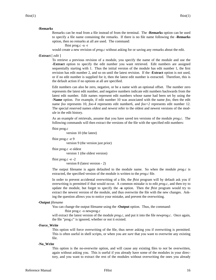#### **-Remarks**

Remarks can be read from a file instead of from the terminal. The **-Remarks** option can be used to specify a file name containing the remarks. If there is no file name following the **-Remarks** option, then no remarks at all are used. The command:

fhist prog.c -u -r

would create a new revision of *prog.c* without asking for or saving any remarks about the edit.

#### **-Extract** [ *edit* ]

To retrieve a previous revision of a module, you specify the name of the module and use the **-Extract** option to specify the edit number you want retrieved. Edit numbers are assigned sequentially starting with 1. Thus the initial version of the module has edit number 1, the first revision has edit number 2, and so on until the latest revision. If the **-Extract** option is not used, or if no edit number is supplied for it, then the latest edit number is extracted. Therefore, this is the default action if no options at all are specified.

Edit numbers can also be zero, negative, or be a name with an optional offset. The number zero represents the latest edit number, and negative numbers indicate edit numbers backwards from the latest edit number. Edit names represent edit numbers whose name had been set by using the **-Name** option. For example, if edit number 10 was associated with the name *foo*, then the edit name *foo* represents 10, *foo-4* represents edit number6, and *foo+2* represents edit number 12. The special reserved names *oldest* and *newest* refer to the oldest and newest versions of the module in the edit history.

As an example of retrievals, assume that you have saved ten versions of the module *prog.c.* The following commands will then extract the versions of the file with the specified edit numbers:

```
fhist prog.c
```
version 10 (the latest)

```
fhist prog.c -e 9
```
version 9 (the version just prior)

fhist prog.c -e oldest version 1 (the oldest version)

fhist prog.c -e -2 version 8 (latest version - 2)

The output filename is again defaulted to the module name. So when the module *prog.c* is extracted, the specified version of the module is written to the *prog.c* file.

In order to prevent accidental overwriting of a file, the *fhist* program will by default ask you if overwriting is permitted if that would occur. A common mistake is to edit *prog.c*, and then try to update the module, but forget to specify the **-u** option. Then the *fhist* program would try to extract the newest version of the module, and thus overwrite the file with the new changes. Asking the question allows you to notice your mistake, and prevent the overwriting.

#### **-Output** *filename*

You can change the output filename using the **-Output** option. Thus, the command:

fhist prog.c -o newprog.c

will extract the latest version of the module *prog.c*, and put it into the file *newprog.c*. Once again, the file "prog.c" is ignored, whether or not it existed.

#### **-Force\_Write**

This option will force overwriting of the file, thus never asking you if overwriting is permitted. This is often useful in shell scripts, or when you are *sure* that you want to overwrite any existing file.

#### **-No\_Write**

This option is the no-overwrite option, and will cause any existing files to *not* be overwritten, again without asking you. This is useful if you already have some of the modules in your directory, and you want to extract the rest of the modules without overwriting the ones you already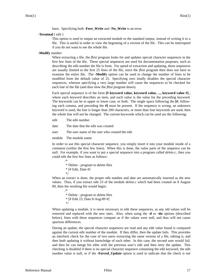have. Specifying both **-Fore\_Write** and **-No\_Write** is an error.

#### **-Terminal** [ *edit* ]

This option is used to output an extracted module to the standard output, instead of writing it to a file. This is useful in order to view the beginning of a version of the file. This can be interrupted if you do not want to see the whole file.

#### **-Modify** *number*

When extracting a file, the *fhist* program looks for and updates special character sequences in the first few lines of the file. These special sequences are used for documentation purposes, such as describing the edit number the file is from. For speed of extraction and updating, these sequences are usually limited to the first 25 lines of the file, since the *fhist* program then does not have to examine the entire file. The **-Modify** option can be used to change the number of lines to be modified from the default value of 25. Specifying zero totally disables the special character sequences, whereas specifying a very large number will cause the sequences to be checked for each line of the file (and thus slow the *fhist* program down).

Each special sequence is of the form **[# keyword value, keyword value, ..., keyword value #] ,** where each *keyword* describes an item, and each *value* is the value for the preceding keyword. The keywords can be in upper or lower case, or both. The single space following the **[#**, following each comma, and preceding the **#]** must be present. If the sequence is wrong, an unknown keyword is used, the line is longer than 200 characters, or more than four keywords are used, then the whole line will not be changed. The current keywords which can be used are the following:

- edit The edit number
- date The date that the edit was created
- user The user name of the user who created the edit
- module The module name

/\*

/\*

In order to use this special character sequence, you simply insert it into your module inside of a comment (within the first few lines). When this is done, the value parts of the sequence can be null. For example, if you want to put a special sequence into a program called *delete.c*, then you could edit the first few lines as follows:

\* Delete - program to delete files  $*$  [# Edit, Date #] \*/

When an extract is done, the proper edit number and date are automatically inserted as the new values. Thus, if you extract edit 23 of the module *delete.c* which had been created on 8 August 89, then the resulting file would begin:

\* Delete - program to delete files \* [# Edit 23, Date 8-Aug-89 #] \*/

When updating a module, it is never necessary to edit these sequences, as any old values will be removed and replaced with the new ones. Also, when using the **-d** or **-du** options (described below), lines with these sequences compare as if the values were null, and thus will not cause spurious differences.

During an update, the special character sequences are read and any edit value found is compared against the current edit number of the module. If they differ, then the update fails. This provides an interlock check for the case of two users extracting the same version of a file, editing it, and then both updating it without knowledge of each other. In this case, the second user would fail, and then he can merge his edits with the previous user's edit and then retry the update. This checking is disabled if there is no special character sequence containing the edit keyword, the edit number value is null, or if the **-Forced\_Update** option is used to indicate that the check is not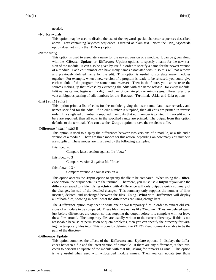#### needed.

**−No\_Keywords**

This option may be used to disable the use of the keyword special character sequences described above. Text containing keyword sequences is treated as plain text. Note: the **−No\_Keywords** option does *not* imply the **−BINary** option.

**-Name** *string*

This option is used to associate a name for the newest version of a module. It can be given along with the **-CReate**, **-Update**, or **-Difference\_Update** options, to specify a name for the new version of the module. It can also be given by itself in order to specify a name for the newest version of a module. Each edit number can have many names associated with it, so this will not remove any previously defined name for the edit. This option is useful to correlate many modules together. For example, when a new version of a program is ready to be released, you could give each module of the program the same name *release1*. Then in the future, you can recreate the sources making up that release by extracting the edits with the name *release1* for every module. Edit names cannot begin with a digit, and cannot contain plus or minus signs. These rules prevent ambiguous parsing of edit numbers for the **-Extract**, **-Terminal**, **-ALL**, and **-List** options.

```
-List [ edit1 [ edit2 ]]
```
This option prints a list of edits for the module, giving the user name, date, user remarks, and names specified for the edits. If no edit number is supplied, then all edits are printed in reverse order. If a single edit number is supplied, then only that edit number is printed. If two edit numbers are supplied, then all edits in the specified range are printed. The output from this option defaults to the terminal. You can use the **-Output** option to save the results to a file.

**-Difference** [ *edit1* [ *edit2* ]]

This option is used to display the differences between two versions of a module, or a file and a version of a module. There are three modes for this action, depending on how many edit numbers are supplied. These modes are illustrated by the following examples:

fhist foo.c -d

Compare latest version against file "foo.c"

fhist foo.c -d 3

Compare version 3 against file "foo.c"

fhist foo.c -d 3 4

Compare version 3 against version 4

This option accepts the **-Input** option to specify the file to be compared. When using the **-Difference** option, the output defaults to the terminal. Therefore, you must use **-Output** if you wish the differences saved toafile. Using **-Quick** with **-Difference** will only output a quick summary of the changes, instead of the detailed changes. This summary only supplies the number of lines inserted, deleted, and unchanged between the files. Using **-What** with **-Difference** will display all of both files, showing in detail what the differences are using change bars.

The **-Difference** option may need to write one or two temporary files in order to extract old versions of a module to be compared. These files have names like *T\$n\_nnn .* They are deleted again just before differences are output, so that stopping the output before it is complete will not leave these files around. The temporary files are usually written to the current directory. If this is not reasonable because of permission or quota problems, then you can specify the directory for writing the temporary files into. This is done by defining the *TMPDIR* environment variable to be the path of the directory.

#### **-Difference\_Update**

This option combines the effects of the **-Difference** and **-Update** options. It displays the differences between a file and the latest version of a module. If there are any differences, it then proceeds to perform an update of the module with that file, asking for remarks as usual. This option is very useful when used with wildcarded module names. Then you can update just those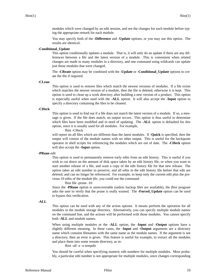modules which were changed by an edit session, and see the changes for each module before typing the appropriate remark for each module.

You may specify both of the **-Difference** and **-Update** options, or you may use this option. The results are identical.

## **-Conditional\_Update**

This option conditionally updates a module. That is, it will only do an update if there are any differences between a file and the latest version of a module. This is convenient when related changes are made to many modules in a directory, and one command using wildcards can update just those modules that were changed.

The **-CReate** option may be combined with the **-Update** or **-Conditional\_Update** options to create the file if required.

#### **-CLean**

This option is used to remove files which match the newest versions of modules. If a file exists which matches the newest version of a module, then the file is deleted, otherwise it is kept. This option is used to clean up a work directory after building a new version of a product. This option is especially useful when used with the **-ALL** option. It will also accept the **-Input** option to specify a directory containing the files to be cleaned.

#### **-CHeck**

This option is used to find out if a file does not match the latest version of a module. If so, a message is given. If the file does match, no output occurs. This option is thus useful to determine which files have been modified and in need of updating. The **-ALL** option is defaulted for this option, since it is usually used for all modules. For example,

fhist -CHeck

will report on all files which are different than the latest modules. If **-Quick** is specified, then the output will consist of the module names with no other output. This is useful for the backquote operator in shell scripts for referencing the modules which are out of date. The **-CHeck** option will also accept the **-Input** option.

#### **-PRune** *edit*

This option is used to permanently remove early edits from an edit history. This is useful if you wish to cut down on the amount of disk space taken by an edit history file, or when you want to start another release of a file, and want a copy of the edit history file for that new release. The option takes an edit number to preserve, and all edits in the edit history file before that edit are deleted, and can no longer be referenced. For example, to keep only the current edit plus the previous 10 edits of the module *file*, you could use the command:

fhist file -prune -10

Since the **-PRune** option is unrecoverable (unless backup files are available), the *fhist* program asks the user to verify that the prune is really wanted. The **-Forced\_Update** option can be used to bypass this verification.

#### **-ALL**

This option can be used with any of the action options. It means perform the operation for all modules in the module storage directory. Alternatively, you can specify multiple module names on the command line, and the actions will be performed with those modules. You cannot specify both **-ALL** and module names.

When using multiple modules or the **-ALL** option, the **-Input** and **-Output** options have a slightly different meaning. In these cases, the **-Input** and **-Output** arguments are a directory name which contains filenames with the same name as the module names. If the argument is not a directory, then an error is given. This feature is useful for example, to extract all the modules and place them into some remote directory, as in:

#### fhist -all -e -o tempdir

You should be careful when specifying numeric edit numbers for multiple modules. Most probably, a particular edit number is not appropriate for multiple modules, since changes corresponding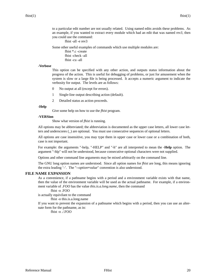to a particular edit number are not usually related. Using named edits avoids these problems. As an example, if you wanted to extract every module which had an edit that was named  $rev3$ , then you could use the command:

fhist -all -e rev3

Some other useful examples of commands which use multiple modules are:

fhist \*.c -create fhist -check -all fhist -cu -all

#### **-Verbose**

This option can be specified with any other action, and outputs status information about the progress of the action. This is useful for debugging of problems, or just for amusement when the system is slow or a large file is being processed. It accepts a numeric argument to indicate the verbosity for output. The levels are as follows:

- 0 No output at all (except for errors).
- 1 Single-line output describing action (default).
- 2 Detailed status as action proceeds.

#### **-Help**

Give some help on how to use the *fhist* program.

#### **-VERSion**

Show what version of *fhist* is running.

All options may be abbreviated; the abbreviation is documented as the upper case letters, all lower case letters and underscores (\_) are optional. You must use consecutive sequences of optional letters.

All options are case insensitive, you may type them in upper case or lower case or a combination of both, case is not important.

For example: the arguments "-help, "-HELP" and "-h" are all interpreted to mean the **-Help** option. The argument "-hlp" will not be understood, because consecutive optional characters were not supplied.

Options and other command line arguments may be mixed arbitrarily on the command line.

The GNU long option names are understood. Since all option names for *fhist* are long, this means ignoring the extra leading '-'. The "**--***option***=***value*" convention is also understood.

#### **FILE NAME EXPANSION**

As a convenience, if a pathname begins with a period and a environment variable exists with that name, then the value of the environment variable will be used as the actual pathname. For example, if a environment variable of *.FOO* has the value *this.is.a.long.name*, then the command

#### fhist -o .FOO

is actually equivilant to the command

fhist -o this.is.a.long.name

If you want to prevent the expansion of a pathname which begins with a period, then you can use an alternate form for the pathname, as in:

fhist -o ./.FOO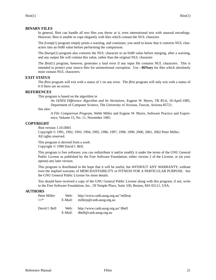#### **BINARY FILES**

In general, fhist can handle all text files you throw at it, even international text with unusual encodings. However, fhist is *unable* to cope elegantly with files which contain the NUL character.

The *fcomp*(1) program simply prints a warning, and continues, you need to know that it converts NUL characters into an 0x80 value before performing the comparison.

The *fmerge*(1) program also converts the NUL character to an 0x80 value before merging, after a warning, and any output file will contain this value, rather than the original NUL character.

The *fhist*(1) program, however, generates a fatal error if any input file contains NUL characters. This is intended to protect your source files for unintentional corruption. Use **--BINary** for files which absolutely must contain NUL characters.

#### **EXIT STATUS**

The *fhist* program will exit with a status of 1 on any error. The *fhist* program will only exit with a status of 0 if there are no errors.

## **REFERENCES**

This program is based on the algorithm in

*An O(ND) Difference Algorithm and Its Variations*, Eugene W. Myers, TR 85-6, 10-April-1985, Department of Computer Science, The University of Arizona, Tuscon, Arizona 85721.

See also:

*A File Comparison Program*, Webb Miller and Eugene W. Myers, Software Practice and Experience, Volume 15, No. 11, November 1985.

#### **COPYRIGHT**

fhist version 1.10.D001

Copyright © 1991, 1992, 1993, 1994, 1995, 1996, 1997, 1998, 1999, 2000, 2001, 2002 Peter Miller; All rights reserved.

This program is derived from a work Copyright © 1990 David I. Bell.

This program is free software; you can redistribute it and/or modify it under the terms of the GNU General Public License as published by the Free Software Foundation; either version 2 of the License, or (at your option) any later version.

This program is distributed in the hope that it will be useful, but WITHOUT ANY WARRANTY; without even the implied warranty of MERCHANTABILITY or FITNESS FOR A PARTICULAR PURPOSE. See the GNU General Public License for more details.

You should have received a copy of the GNU General Public License along with this program; if not, write to the Free Software Foundation, Inc., 59 Temple Place, Suite 330, Boston, MA 02111, USA.

## **AUTHORS**

| Peter Miller    | Web:            | http://www.canb.auug.org.au/~millerp                         |
|-----------------|-----------------|--------------------------------------------------------------|
| $\mathcal{N}^*$ | E-Mail:         | millerp@canb.auug.org.au                                     |
| David I. Bell   | Web:<br>E-Mail: | http://www.canb.auug.org.au/~dbell<br>dbell@canb.auug.org.au |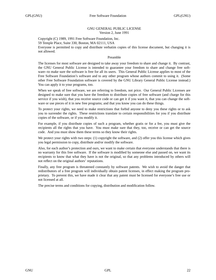#### GNU GENERAL PUBLIC LICENSE Version 2, June 1991

Copyright (C) 1989, 1991 Free Software Foundation, Inc. 59 Temple Place, Suite 330, Boston, MA 02111, USA Everyone is permitted to copy and distribute verbatim copies of this license document, but changing it is not allowed.

#### Preamble

The licenses for most software are designed to take away your freedom to share and change it. By contrast, the GNU General Public License is intended to guarantee your freedom to share and change free software--to make sure the software is free for all its users. This General Public License applies to most of the Free Software Foundation's software and to any other program whose authors commit to using it. (Some other Free Software Foundation software is covered by the GNU Library General Public License instead.) You can apply it to your programs, too.

When we speak of free software, we are referring to freedom, not price. Our General Public Licenses are designed to make sure that you have the freedom to distribute copies of free software (and charge for this service if you wish), that you receive source code or can get it if you want it, that you can change the software or use pieces of it in new free programs; and that you know you can do these things.

To protect your rights, we need to make restrictions that forbid anyone to deny you these rights or to ask you to surrender the rights. These restrictions translate to certain responsibilities for you if you distribute copies of the software, or if you modify it.

For example, if you distribute copies of such a program, whether gratis or for a fee, you must give the recipients all the rights that you have. You must make sure that they, too, receive or can get the source code. And you must show them these terms so they know their rights.

We protect your rights with two steps: (1) copyright the software, and (2) offer you this license which gives you legal permission to copy, distribute and/or modify the software.

Also, for each author's protection and ours, we want to make certain that everyone understands that there is no warranty for this free software. If the software is modified by someone else and passed on, we want its recipients to know that what they have is not the original, so that any problems introduced by others will not reflect on the original authors' reputations.

Finally, any free program is threatened constantly by software patents. We wish to avoid the danger that redistributors of a free program will individually obtain patent licenses, in effect making the program proprietary. To prevent this, we have made it clear that any patent must be licensed for everyone's free use or not licensed at all.

The precise terms and conditions for copying, distribution and modification follow.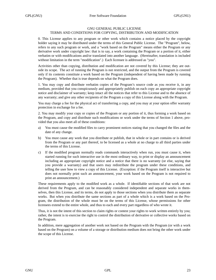#### GNU GENERAL PUBLIC LICENSE TERMS AND CONDITIONS FOR COPYING, DISTRIBUTION AND MODIFICATION

0. This License applies to any program or other work which contains a notice placed by the copyright holder saying it may be distributed under the terms of this General Public License. The "Program", below, refers to any such program or work, and a "work based on the Program" means either the Program or any derivative work under copyright law: that is to say, a work containing the Program or a portion of it, either verbatim or with modifications and/or translated into another language. (Hereinafter, translation is included without limitation in the term "modification".) Each licensee is addressed as "you".

Activities other than copying, distribution and modification are not covered by this License; they are outside its scope. The act of running the Program is not restricted, and the output from the Program is covered only if its contents constitute a work based on the Program (independent of having been made by running the Program). Whether that is true depends on what the Program does.

1. You may copy and distribute verbatim copies of the Program's source code as you receive it, in any medium, provided that you conspicuously and appropriately publish on each copy an appropriate copyright notice and disclaimer of warranty; keep intact all the notices that refer to this License and to the absence of any warranty; and give any other recipients of the Program a copy of this License along with the Program.

You may charge a fee for the physical act of transferring a copy, and you may at your option offer warranty protection in exchange for a fee.

2. You may modify your copy or copies of the Program or any portion of it, thus forming a work based on the Program, and copy and distribute such modifications or work under the terms of Section 1 above, provided that you also meet all of these conditions:

- a) You must cause the modified files to carry prominent notices stating that you changed the files and the date of any change.
- b) You must cause any work that you distribute or publish, that in whole or in part contains or is derived from the Program or any part thereof, to be licensed as a whole at no charge to all third parties under the terms of this License.
- c) If the modified program normally reads commands interactively when run, you must cause it, when started running for such interactive use in the most ordinary way, to print or display an announcement including an appropriate copyright notice and a notice that there is no warranty (or else, saying that you provide a warranty) and that users may redistribute the program under these conditions, and telling the user how to viewacopy of this License. (Exception: if the Program itself is interactive but does not normally print such an announcement, your work based on the Program is not required to print an announcement.)

These requirements apply to the modified work as a whole. If identifiable sections of that work are not derived from the Program, and can be reasonably considered independent and separate works in themselves, then this License, and its terms, do not apply to those sections when you distribute them as separate works. But when you distribute the same sections as part of a whole which is a work based on the Program, the distribution of the whole must be on the terms of this License, whose permissions for other licensees extend to the entire whole, and thus to each and every part regardless of who wrote it.

Thus, it is not the intent of this section to claim rights or contest your rights to work written entirely by you; rather, the intent is to exercise the right to control the distribution of derivative or collective works based on the Program.

In addition, mere aggregation of another work not based on the Program with the Program (or with a work based on the Program) on a volume of a storage or distribution medium does not bring the other work under the scope of this License.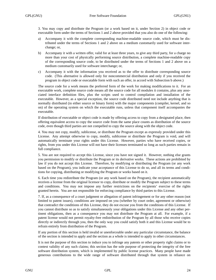3. You may copy and distribute the Program (or a work based on it, under Section 2) in object code or executable form under the terms of Sections 1 and 2 above provided that you also do one of the following:

- a) Accompany it with the complete corresponding machine-readable source code, which must be distributed under the terms of Sections 1 and 2 above on a medium customarily used for software interchange; or,
- b) Accompany it with a written offer, valid for at least three years, to give any third party, for a charge no more than your cost of physically performing source distribution, a complete machine-readable copy of the corresponding source code, to be distributed under the terms of Sections 1 and 2 above on a medium customarily used for software interchange; or,
- c) Accompany it with the information you received as to the offer to distribute corresponding source code. (This alternative is allowed only for noncommercial distribution and only if you received the program in object code or executable form with such an offer, in accord with Subsection b above.)

The source code for a work means the preferred form of the work for making modifications to it. For an executable work, complete source code means all the source code for all modules it contains, plus any associated interface definition files, plus the scripts used to control compilation and installation of the executable. However, as a special exception, the source code distributed need not include anything that is normally distributed (in either source or binary form) with the major components (compiler, kernel, and so on) of the operating system on which the executable runs, unless that component itself accompanies the executable.

If distribution of executable or object code is made by offering access to copy from a designated place, then offering equivalent access to copy the source code from the same place counts as distribution of the source code, even though third parties are not compelled to copy the source along with the object code.

4. You may not copy, modify, sublicense, or distribute the Program except as expressly provided under this License. Any attempt otherwise to copy, modify, sublicense or distribute the Program is void, and will automatically terminate your rights under this License. However, parties who have received copies, or rights, from you under this License will not have their licenses terminated so long as such parties remain in full compliance.

5. You are not required to accept this License, since you have not signed it. However, nothing else grants you permission to modify or distribute the Program or its derivative works. These actions are prohibited by law if you do not accept this License. Therefore, by modifying or distributing the Program (or any work based on the Program), you indicate your acceptance of this License to do so, and all its terms and conditions for copying, distributing or modifying the Program or works based on it.

6. Each time you redistribute the Program (or any work based on the Program), the recipient automatically receives a license from the original licensor to copy, distribute or modify the Program subject to these terms and conditions. You may not impose any further restrictions on the recipients' exercise of the rights granted herein. You are not responsible for enforcing compliance by third parties to this License.

7. If, as a consequence of a court judgment or allegation of patent infringement or for any other reason (not limited to patent issues), conditions are imposed on you (whether by court order, agreement or otherwise) that contradict the conditions of this License, they do not excuse you from the conditions of this License. If you cannot distribute so as to satisfy simultaneously your obligations under this License and any other pertinent obligations, then as a consequence you may not distribute the Program at all. For example, if a patent license would not permit royalty-free redistribution of the Program by all those who receive copies directly or indirectly through you, then the only way you could satisfy both it and this License would be to refrain entirely from distribution of the Program.

If any portion of this section is held invalid or unenforceable under any particular circumstance, the balance of the section is intended to apply and the section as a whole is intended to apply in other circumstances.

It is not the purpose of this section to induce you to infringe any patents or other property right claims or to contest validity of any such claims; this section has the sole purpose of protecting the integrity of the free software distribution system, which is implemented by public license practices. Many people have made generous contributions to the wide range of software distributed through that system in reliance on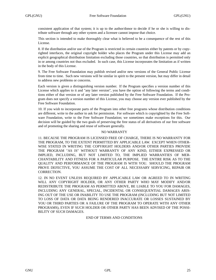consistent application of that system; it is up to the author/donor to decide if he or she is willing to distribute software through any other system and a licensee cannot impose that choice.

This section is intended to make thoroughly clear what is believed to be a consequence of the rest of this License.

8. If the distribution and/or use of the Program is restricted in certain countries either by patents or by copyrighted interfaces, the original copyright holder who places the Program under this License may add an explicit geographical distribution limitation excluding those countries, so that distribution is permitted only in or among countries not thus excluded. In such case, this License incorporates the limitation as if written in the body of this License.

9. The Free Software Foundation may publish revised and/or new versions of the General Public License from time to time. Such new versions will be similar in spirit to the present version, but may differ in detail to address new problems or concerns.

Each version is given a distinguishing version number. If the Program specifies a version number of this License which applies to it and "any later version", you have the option of following the terms and conditions either of that version or of any later version published by the Free Software Foundation. If the Program does not specify a version number of this License, you may choose any version ever published by the Free Software Foundation.

10. If you wish to incorporate parts of the Program into other free programs whose distribution conditions are different, write to the author to ask for permission. For software which is copyrighted by the Free Software Foundation, write to the Free Software Foundation; we sometimes make exceptions for this. Our decision will be guided by the two goals of preserving the free status of all derivatives of our free software and of promoting the sharing and reuse of software generally.

#### NO WARRANTY

11. BECAUSE THE PROGRAM IS LICENSED FREE OF CHARGE, THERE IS NO WARRANTY FOR THE PROGRAM, TO THE EXTENT PERMITTED BY APPLICABLE LAW. EXCEPT WHEN OTHER-WISE STATED IN WRITING THE COPYRIGHT HOLDERS AND/OR OTHER PARTIES PROVIDE THE PROGRAM "AS IS" WITHOUT WARRANTY OF ANY KIND, EITHER EXPRESSED OR IMPLIED, INCLUDING, BUT NOT LIMITED TO, THE IMPLIED WARRANTIES OF MER-CHANTABILITY AND FITNESS FOR A PARTICULAR PURPOSE. THE ENTIRE RISK AS TO THE QUALITY AND PERFORMANCE OF THE PROGRAM IS WITH YOU. SHOULD THE PROGRAM PROVE DEFECTIVE, YOU ASSUME THE COST OF ALL NECESSARY SERVICING, REPAIR OR CORRECTION.

12. IN NO EVENT UNLESS REQUIRED BY APPLICABLE LAW OR AGREED TO IN WRITING WILL ANY COPYRIGHT HOLDER, OR ANY OTHER PARTY WHO MAY MODIFY AND/OR REDISTRIBUTE THE PROGRAM AS PERMITTED ABOVE, BE LIABLE TO YOU FOR DAMAGES, INCLUDING ANY GENERAL, SPECIAL, INCIDENTAL OR CONSEQUENTIAL DAMAGES ARIS-ING OUT OF THE USE OR INABILITY TO USE THE PROGRAM (INCLUDING BUT NOT LIMITED TO LOSS OF DATA OR DATA BEING RENDERED INACCURATE OR LOSSES SUSTAINED BY YOU OR THIRD PARTIES OR A FAILURE OF THE PROGRAM TO OPERATE WITH ANY OTHER PROGRAMS), EVEN IF SUCH HOLDER OR OTHER PARTY HAS BEEN ADVISED OF THE POSSI-BILITY OF SUCH DAMAGES.

## END OF TERMS AND CONDITIONS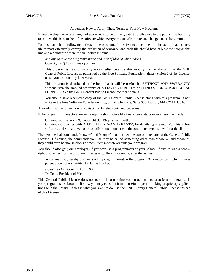#### Appendix: How to Apply These Terms to Your New Programs

If you develop a new program, and you want it to be of the greatest possible use to the public, the best way to achieve this is to make it free software which everyone can redistribute and change under these terms.

To do so, attach the following notices to the program. It is safest to attach them to the start of each source file to most effectively convey the exclusion of warranty; and each file should have at least the "copyright" line and a pointer to where the full notice is found.

*one line to give the program's name and a brief idea of what it does.* Copyright (C) 19yy *name of author*

This program is free software; you can redistribute it and/or modify it under the terms of the GNU General Public License as published by the Free Software Foundation; either version 2 of the License, or (at your option) any later version.

This program is distributed in the hope that it will be useful, but WITHOUT ANY WARRANTY; without even the implied warranty of MERCHANTABILITY or FITNESS FOR A PARTICULAR PURPOSE. See the GNU General Public License for more details.

You should have received a copy of the GNU General Public License along with this program; if not, write to the Free Software Foundation, Inc., 59 Temple Place, Suite 330, Boston, MA 02111, USA.

Also add information on how to contact you by electronic and paper mail.

If the program is interactive, make it output a short notice like this when it starts in an interactive mode:

Gnomovision version 69, Copyright (C) 19yy name of author

Gnomovision comes with ABSOLUTELY NO WARRANTY; for details type 'show w'. This is free software, and you are welcome to redistribute it under certain conditions; type 'show c' for details.

The hypothetical commands 'show w' and 'show c' should show the appropriate parts of the General Public License. Of course, the commands you use may be called something other than 'show w' and 'show c'; they could even be mouse-clicks or menu items--whatever suits your program.

You should also get your employer (if you work as a programmer) or your school, if any, to sign a "copyright disclaimer" for the program, if necessary. Here is a sample; alter the names:

Yo yodyne, Inc., hereby disclaims all copyright interest in the program 'Gnomovision' (which makes passes at compilers) written by James Hacker.

*signature of Ty Coon,* 1 April 1989 Ty Coon, President of Vice

This General Public License does not permit incorporating your program into proprietary programs. If your program is a subroutine library, you may consider it more useful to permit linking proprietary applications with the library. If this is what you want to do, use the GNU Library General Public License instead of this License.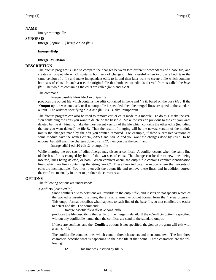#### **NAME**

fmerge − merge files

#### **SYNOPSIS**

**fmerge** [ *option*... ] *basefile fileA fileB*

#### **fmerge -Help**

#### **fmerge -VERSion**

#### **DESCRIPTION**

The *fmerge* program is used to compare the changes between two different descendants of a base file, and creates an output file which contains both sets of changes. This is useful when two users both take the same version of a file and make independent edits to it, and then later want to create a file which contains both sets of edits. In such a use, the original file that both sets of edits is derived from is called the *base file*. The two files containing the edits are called *file A* and *file B*.

The command:

fmerge basefile fileA fileB -o outputfile

produces the output file which contains the edits contained in *file A* and *file B*, based on the *base file .* If the **-Output** option was not used, or if no outputfile is specified, then the merged lines are typed to the standard output. The order of specifying *file A and file B* is usually unimportant.

The *fmerge* program can also be used to remove earlier edits made to a module. To do this, make the version containing the edits you want to delete be the basefile. Make the version previous to the edit you want deleted be file A. Finally, make the most recent version of the file which contains the other edits (including the one you want deleted) be file B. Then the result of merging will be the newest version of the module minus the changes made by the edit you wanted removed. For example, if three successive versions of some module have the names *edit10*, *edit11* and *edit12*, and you want the changes done by *edit11* to be undone, but still want the changes done by *edit12*, then you use the command:

fmerge edit11 edit10 edit12 -o outputfile

While merging the two sets of edits, fmerge may discover conflicts. A conflict occurs when the same line of the base file is changed by both of the two sets of edits. The change can be due to new lines being inserted, lines being deleted, or both. When conflicts occur, the output file contains conflict identification lines, which are lines containing the string *'/-/-/-/'*. These lines indicate the region where the two sets of edits are incompatible. You must then edit the output file and remove these lines, and in addition correct the conflicts manually in order to produce the correct result.

#### **OPTIONS**

The following options are understood:

#### **-Conflicts** [ *conflictfile* ]

Since conflicts due to deletions are invisible in the output file, and inserts do not specify which of the two edits inserted the lines, there is an alternative output format from the *fmerge* program. This output format describes what happens to each line of the base file, so that conflicts are easier to detect and fix. The command:

fmerge basefile fileA fileB -c conflictfile

produces the file describing the results of the merge in detail. If the **-Conflicts** option is specified without any conflictfile name, then the conflicts are send to the standard output.

If there are conflicts, and the **-Conflicts** options is not specified, the *fmerge* program will exit with a status of 1.

The conflict file contains lines which contain three characters and then some text. The first three characters describe what is happening to the base file at that point. These characters are the following:

IA This line was inserted by file A.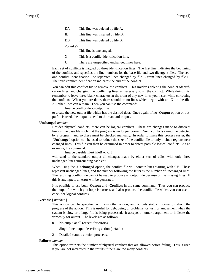- DA This line was deleted by file A.
- IB This line was inserted by file B.
- DB This line was deleted by file B.

<blanks>

This line is unchanged.

- X This is a conflict identification line.
- U There are unspecified unchanged lines here.

Each set of conflicts is flagged by three identification lines. The first line indicates the beginning of the conflict, and specifies the line numbers for the base file and two divergent files. The second conflict identification line separates lines changed by file A from lines changed by file B. The third conflict identification indicates the end of the conflict.

You can edit this conflict file to remove the conflicts. This involves deleting the conflict identification lines, and changing the conflicting lines as necessary to fix the conflict. While doing this, remember to leave three blank characters at the front of any new lines you insert while correcting the conflicts. When you are done, there should be no lines which begin with an 'X' in the file. All other lines can remain. Then you can use the command:

fmerge conflictfile -o outputfile

to create the new output file which has the desired data. Once again, if no **-Output** option or outputfile is used, the output is send to the standard output.

**-Unchanged** *number*

Besides physical conflicts, there can be logical conflicts. These are changes made to different lines in the base file such that the program is no longer correct. Such conflicts cannot be detected by a program, and so these must be checked manually. In order to make this process easier, the **-Unchanged** option can be used to reduce the size of the conflict file to only include regions near changed lines. This file can then be examined in order to detect possible logical conflicts. As an example, the command:

fmerge basefile fileA fileB -c -u 3

will send to the standard output all changes made by either sets of edits, with only three unchanged lines surrounding each edit.

When using the **-Unchanged** option, the conflict file will contain lines starting with 'U'. These represent unchanged lines, and the number following the letter is the number of unchanged lines. The resulting conflict file cannot be read to produce an output file because of the missing lines. If this is attempted, an error will be generated.

It is possible to use both **-Output** and **-Conflicts** in the same command. Thus you can produce the output file which you hope is correct, and also produce the conflict file which you can use to check for logical conflicts.

#### **-Verbose** [ *number* ]

This option can be specified with any other action, and outputs status information about the progress of the action. This is useful for debugging of problems, or just for amusement when the system is slow or a large file is being processed. It accepts a numeric argument to indicate the verbosity for output. The levels are as follows:

- 0 No output at all (except for errors).
- 1 Single-line output describing action (default).
- 2 Detailed status as action proceeds.

#### **-Failures** *number*

This option restricts the number of physical conflicts that are allowed before failing. This is used if you are not interested in the results if there are too many conflicts.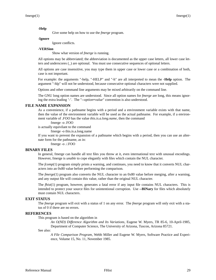#### **-Help**

Give some help on how to use the *fmerge* program.

#### **-Ignore**

Ignore conflicts.

#### **-VERSion**

Show what version of *fmerge* is running.

All options may be abbreviated; the abbreviation is documented as the upper case letters, all lower case letters and underscores (\_) are optional. You must use consecutive sequences of optional letters.

All options are case insensitive, you may type them in upper case or lower case or a combination of both, case is not important.

For example: the arguments "-help, "-HELP" and "-h" are all interpreted to mean the **-Help** option. The argument "-hlp" will not be understood, because consecutive optional characters were not supplied.

Options and other command line arguments may be mixed arbitrarily on the command line.

The GNU long option names are understood. Since all option names for *fmerge* are long, this means ignoring the extra leading '-'. The "**--***option***=***value*" convention is also understood.

#### **FILE NAME EXPANSION**

As a convenience, if a pathname begins with a period and a environment variable exists with that name, then the value of the environment variable will be used as the actual pathname. For example, if a environment variable of *.FOO* has the value *this.is.a.long.name*, then the command

fmerge -o .FOO

is actually equivilant to the command

fmerge -o this.is.a.long.name

If you want to prevent the expansion of a pathname which begins with a period, then you can use an alternate form for the pathname, as in:

fmerge -o ./.FOO

#### **BINARY FILES**

In general, fmerge can handle all text files you throw at it, even international text with unusual encodings. However, fmerge is *unable* to cope elegantly with files which contain the NUL character.

The *fcomp*(1) program simply prints a warning, and continues, you need to know that it converts NUL characters into an 0x80 value before performing the comparison.

The *fmerge*(1) program also converts the NUL character to an 0x80 value before merging, after a warning, and any output file will contain this value, rather than the original NUL character.

The *fhist*(1) program, however, generates a fatal error if any input file contains NUL characters. This is intended to protect your source files for unintentional corruption. Use **--BINary** for files which absolutely must contain NUL characters.

#### **EXIT STATUS**

The *fmerge* program will exit with a status of 1 on any error. The *fmerge* program will only exit with a status of 0 if there are no errors.

#### **REFERENCES**

This program is based on the algorithm in

*An O(ND) Difference Algorithm and Its Variations*, Eugene W. Myers, TR 85-6, 10-April-1985, Department of Computer Science, The University of Arizona, Tuscon, Arizona 85721.

See also:

*A File Comparison Program*, Webb Miller and Eugene W. Myers, Software Practice and Experience, Volume 15, No. 11, November 1985.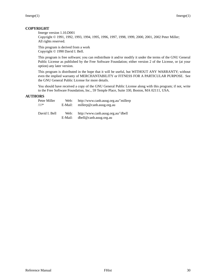## **COPYRIGHT**

fmerge version 1.10.D001

Copyright © 1991, 1992, 1993, 1994, 1995, 1996, 1997, 1998, 1999, 2000, 2001, 2002 Peter Miller; All rights reserved.

This program is derived from a work Copyright © 1990 David I. Bell.

This program is free software; you can redistribute it and/or modify it under the terms of the GNU General Public License as published by the Free Software Foundation; either version 2 of the License, or (at your option) any later version.

This program is distributed in the hope that it will be useful, but WITHOUT ANY WARRANTY; without even the implied warranty of MERCHANTABILITY or FITNESS FOR A PARTICULAR PURPOSE. See the GNU General Public License for more details.

You should have received a copy of the GNU General Public License along with this program; if not, write to the Free Software Foundation, Inc., 59 Temple Place, Suite 330, Boston, MA 02111, USA.

## **AUTHORS**

| Peter Miller  | Web:            | http://www.canb.auug.org.au/~millerp                         |
|---------------|-----------------|--------------------------------------------------------------|
| $\bigwedge^*$ | E-Mail:         | millerp@canb.auug.org.au                                     |
| David I. Bell | Web:<br>E-Mail: | http://www.canb.auug.org.au/~dbell<br>dbell@canb.auug.org.au |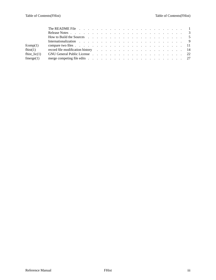| fcomp(1)             |                                                                                                                                                                                                                               |
|----------------------|-------------------------------------------------------------------------------------------------------------------------------------------------------------------------------------------------------------------------------|
| fhist(1)             | record file modification history expected as a series of the modification history expected as a series of the series of the series of the series of the series of the series of the series of the series of the series of the |
| fhist $lic(1)$       | GNU General Public License response response response response response response response response response re                                                                                                                |
| $~{\rm {fmerge}(1)}$ |                                                                                                                                                                                                                               |